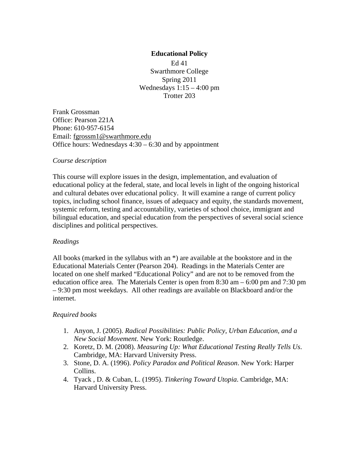# **Educational Policy**

Ed 41 Swarthmore College Spring 2011 Wednesdays  $1:15 - 4:00$  pm Trotter 203

Frank Grossman Office: Pearson 221A Phone: 610-957-6154 Email: fgrossm1@swarthmore.edu Office hours: Wednesdays 4:30 – 6:30 and by appointment

#### *Course description*

This course will explore issues in the design, implementation, and evaluation of educational policy at the federal, state, and local levels in light of the ongoing historical and cultural debates over educational policy. It will examine a range of current policy topics, including school finance, issues of adequacy and equity, the standards movement, systemic reform, testing and accountability, varieties of school choice, immigrant and bilingual education, and special education from the perspectives of several social science disciplines and political perspectives.

#### *Readings*

All books (marked in the syllabus with an \*) are available at the bookstore and in the Educational Materials Center (Pearson 204). Readings in the Materials Center are located on one shelf marked "Educational Policy" and are not to be removed from the education office area. The Materials Center is open from 8:30 am – 6:00 pm and 7:30 pm – 9:30 pm most weekdays. All other readings are available on Blackboard and/or the internet.

# *Required books*

- 1. Anyon, J. (2005). *Radical Possibilities: Public Policy, Urban Education, and a New Social Movement*. New York: Routledge.
- 2. Koretz, D. M. (2008). *Measuring Up: What Educational Testing Really Tells Us*. Cambridge, MA: Harvard University Press.
- 3. Stone, D. A. (1996). *Policy Paradox and Political Reason*. New York: Harper Collins.
- 4. Tyack , D. & Cuban, L. (1995). *Tinkering Toward Utopia*. Cambridge, MA: Harvard University Press.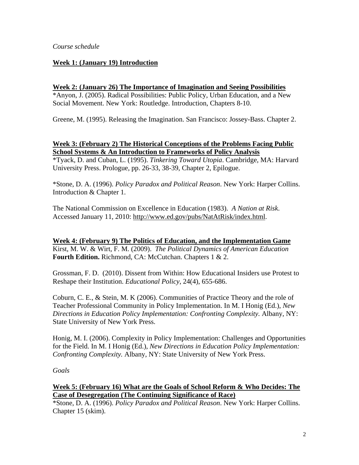## **Week 1: (January 19) Introduction**

#### **Week 2: (January 26) The Importance of Imagination and Seeing Possibilities**

\*Anyon, J. (2005). Radical Possibilities: Public Policy, Urban Education, and a New Social Movement. New York: Routledge. Introduction, Chapters 8-10.

Greene, M. (1995). Releasing the Imagination. San Francisco: Jossey-Bass. Chapter 2.

## **Week 3: (February 2) The Historical Conceptions of the Problems Facing Public School Systems & An Introduction to Frameworks of Policy Analysis**

\*Tyack, D. and Cuban, L. (1995). *Tinkering Toward Utopia*. Cambridge, MA: Harvard University Press. Prologue, pp. 26-33, 38-39, Chapter 2, Epilogue.

\*Stone, D. A. (1996). *Policy Paradox and Political Reason*. New York: Harper Collins. Introduction & Chapter 1.

The National Commission on Excellence in Education (1983). *A Nation at Risk*. Accessed January 11, 2010: http://www.ed.gov/pubs/NatAtRisk/index.html.

**Week 4: (February 9) The Politics of Education, and the Implementation Game**  Kirst, M. W. & Wirt, F. M. (2009). *The Political Dynamics of American Education* **Fourth Edition.** Richmond, CA: McCutchan. Chapters 1 & 2.

Grossman, F. D. (2010). Dissent from Within: How Educational Insiders use Protest to Reshape their Institution. *Educational Policy*, 24(4), 655-686.

Coburn, C. E., & Stein, M. K (2006). Communities of Practice Theory and the role of Teacher Professional Community in Policy Implementation. In M. I Honig (Ed.), *New Directions in Education Policy Implementation: Confronting Complexity.* Albany, NY: State University of New York Press.

Honig, M. I. (2006). Complexity in Policy Implementation: Challenges and Opportunities for the Field. In M. I Honig (Ed.), *New Directions in Education Policy Implementation: Confronting Complexity.* Albany, NY: State University of New York Press.

#### *Goals*

**Week 5: (February 16) What are the Goals of School Reform & Who Decides: The Case of Desegregation (The Continuing Significance of Race)** 

\*Stone, D. A. (1996). *Policy Paradox and Political Reason*. New York: Harper Collins. Chapter 15 (skim).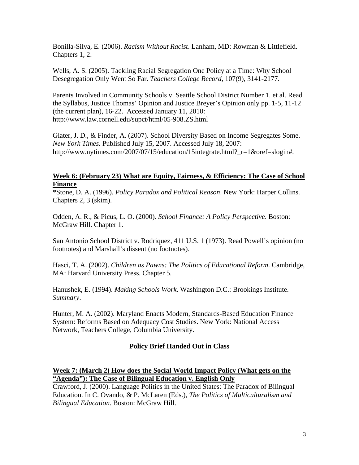Bonilla-Silva, E. (2006). *Racism Without Racist*. Lanham, MD: Rowman & Littlefield. Chapters 1, 2.

Wells, A. S. (2005). Tackling Racial Segregation One Policy at a Time: Why School Desegregation Only Went So Far. *Teachers College Record,* 107(9), 3141-2177.

Parents Involved in Community Schools v. Seattle School District Number 1. et al. Read the Syllabus, Justice Thomas' Opinion and Justice Breyer's Opinion only pp. 1-5, 11-12 (the current plan), 16-22. Accessed January 11, 2010: http://www.law.cornell.edu/supct/html/05-908.ZS.html

Glater, J. D., & Finder, A. (2007). School Diversity Based on Income Segregates Some. *New York Times*. Published July 15, 2007. Accessed July 18, 2007: http://www.nytimes.com/2007/07/15/education/15integrate.html? r=1&oref=slogin#.

# **Week 6: (February 23) What are Equity, Fairness, & Efficiency: The Case of School Finance**

\*Stone, D. A. (1996). *Policy Paradox and Political Reason*. New York: Harper Collins. Chapters 2, 3 (skim).

Odden, A. R., & Picus, L. O. (2000). *School Finance: A Policy Perspective*. Boston: McGraw Hill. Chapter 1.

San Antonio School District v. Rodriquez, 411 U.S. 1 (1973). Read Powell's opinion (no footnotes) and Marshall's dissent (no footnotes).

Hasci, T. A. (2002). *Children as Pawns: The Politics of Educational Reform*. Cambridge, MA: Harvard University Press. Chapter 5.

Hanushek, E. (1994). *Making Schools Work*. Washington D.C.: Brookings Institute. *Summary*.

Hunter, M. A. (2002). Maryland Enacts Modern, Standards-Based Education Finance System: Reforms Based on Adequacy Cost Studies. New York: National Access Network, Teachers College, Columbia University.

# **Policy Brief Handed Out in Class**

#### **Week 7: (March 2) How does the Social World Impact Policy (What gets on the "Agenda"): The Case of Bilingual Education v. English Only**

Crawford, J. (2000). Language Politics in the United States: The Paradox of Bilingual Education. In C. Ovando, & P. McLaren (Eds.), *The Politics of Multiculturalism and Bilingual Education*. Boston: McGraw Hill.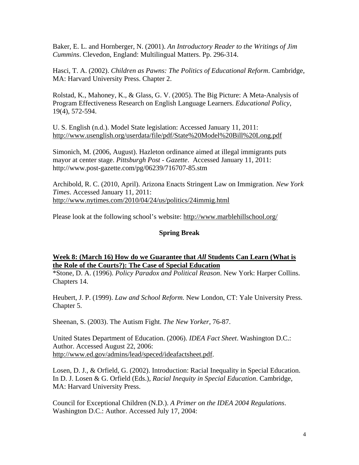Baker, E. L. and Hornberger, N. (2001). *An Introductory Reader to the Writings of Jim Cummins*. Clevedon, England: Multilingual Matters. Pp. 296-314.

Hasci, T. A. (2002). *Children as Pawns: The Politics of Educational Reform*. Cambridge, MA: Harvard University Press. Chapter 2.

Rolstad, K., Mahoney, K., & Glass, G. V. (2005). The Big Picture: A Meta-Analysis of Program Effectiveness Research on English Language Learners. *Educational Policy*, 19(4), 572-594.

U. S. English (n.d.). Model State legislation: Accessed January 11, 2011: http://www.usenglish.org/userdata/file/pdf/State%20Model%20Bill%20Long.pdf

Simonich, M. (2006, August). Hazleton ordinance aimed at illegal immigrants puts mayor at center stage. *Pittsburgh Post - Gazette*. Accessed January 11, 2011: http://www.post-gazette.com/pg/06239/716707-85.stm

Archibold, R. C. (2010, April). Arizona Enacts Stringent Law on Immigration*. New York Times*. Accessed January 11, 2011: http://www.nytimes.com/2010/04/24/us/politics/24immig.html

Please look at the following school's website: http://www.marblehillschool.org/

## **Spring Break**

## **Week 8: (March 16) How do we Guarantee that** *All* **Students Can Learn (What is the Role of the Courts?): The Case of Special Education**

\*Stone, D. A. (1996). *Policy Paradox and Political Reason*. New York: Harper Collins. Chapters 14.

Heubert, J. P. (1999). *Law and School Reform.* New London, CT: Yale University Press. Chapter 5.

Sheenan, S. (2003). The Autism Fight. *The New Yorker*, 76-87.

United States Department of Education. (2006). *IDEA Fact Sheet*. Washington D.C.: Author. Accessed August 22, 2006: http://www.ed.gov/admins/lead/speced/ideafactsheet.pdf.

Losen, D. J., & Orfield, G. (2002). Introduction: Racial Inequality in Special Education. In D. J. Losen & G. Orfield (Eds.), *Racial Inequity in Special Education*. Cambridge, MA: Harvard University Press.

Council for Exceptional Children (N.D.). *A Primer on the IDEA 2004 Regulations*. Washington D.C.: Author. Accessed July 17, 2004: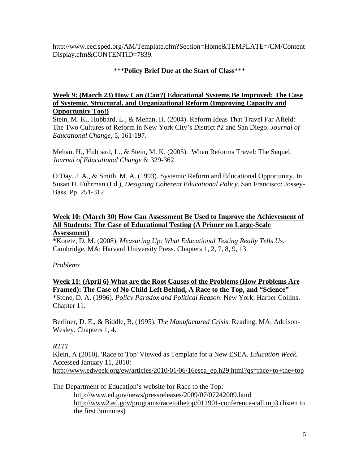http://www.cec.sped.org/AM/Template.cfm?Section=Home&TEMPLATE=/CM/Content Display.cfm&CONTENTID=7839.

# \*\*\***Policy Brief Due at the Start of Class**\*\*\*

#### **Week 9: (March 23) How Can (Can?) Educational Systems Be Improved: The Case of Systemic, Structural, and Organizational Reform (Improving Capacity and Opportunity Too!)**

Stein, M. K., Hubbard, L., & Mehan, H. (2004). Reform Ideas That Travel Far Afield: The Two Cultures of Reform in New York City's District #2 and San Diego. *Journal of Educational Change,* 5, 161-197.

Mehan, H., Hubbard, L., & Stein, M. K. (2005). When Reforms Travel: The Sequel. *Journal of Educational Change* 6: 329-362.

O'Day, J. A., & Smith, M. A. (1993). Systemic Reform and Educational Opportunity. In Susan H. Fuhrman (Ed.), *Designing Coherent Educational Policy*. San Francisco: Jossey-Bass. Pp. 251-312

# **Week 10: (March 30) How Can Assessment Be Used to Improve the Achievement of All Students: The Case of Educational Testing (A Primer on Large-Scale**

# **Assessment)**

\*Koretz, D. M. (2008). *Measuring Up: What Educational Testing Really Tells Us*. Cambridge, MA: Harvard University Press. Chapters 1, 2, 7, 8, 9, 13.

#### *Problems*

# **Week 11: (April 6) What are the Root Causes of the Problems (How Problems Are Framed): The Case of No Child Left Behind, A Race to the Top, and "Science"**

\*Stone, D. A. (1996). *Policy Paradox and Political Reason*. New York: Harper Collins. Chapter 11.

Berliner, D. E., & Biddle, B. (1995). *The Manufactured Crisis*. Reading, MA: Addison-Wesley. Chapters 1, 4.

# *RTTT*

Klein, A (2010). 'Race to Top' Viewed as Template for a New ESEA. *Education Week.*  Accessed January 11, 2010: http://www.edweek.org/ew/articles/2010/01/06/16esea\_ep.h29.html?qs=race+to+the+top

The Department of Education's website for Race to the Top:

http://www.ed.gov/news/pressreleases/2009/07/07242009.html http://www2.ed.gov/programs/racetothetop/011901-conference-call.mp3 (listen to the first 3minutes)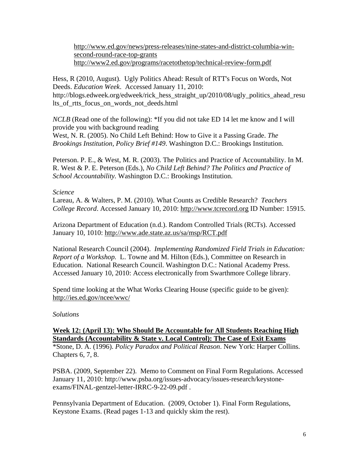http://www.ed.gov/news/press-releases/nine-states-and-district-columbia-winsecond-round-race-top-grants http://www2.ed.gov/programs/racetothetop/technical-review-form.pdf

Hess, R (2010, August). Ugly Politics Ahead: Result of RTT's Focus on Words, Not Deeds. *Education Week*. Accessed January 11, 2010: http://blogs.edweek.org/edweek/rick\_hess\_straight\_up/2010/08/ugly\_politics\_ahead\_resu lts\_of\_rtts\_focus\_on\_words\_not\_deeds.html

*NCLB* (Read one of the following): \*If you did not take ED 14 let me know and I will provide you with background reading

West, N. R. (2005). No Child Left Behind: How to Give it a Passing Grade. *The Brookings Institution, Policy Brief #149*. Washington D.C.: Brookings Institution.

Peterson. P. E., & West, M. R. (2003). The Politics and Practice of Accountability. In M. R. West & P. E. Peterson (Eds.), *No Child Left Behind? The Politics and Practice of School Accountability.* Washington D.C.: Brookings Institution.

## *Science*

Lareau, A. & Walters, P. M. (2010). What Counts as Credible Research? *Teachers College Record*. Accessed January 10, 2010: http://www.tcrecord.org ID Number: 15915.

Arizona Department of Education (n.d.). Random Controlled Trials (RCTs). Accessed January 10, 1010: http://www.ade.state.az.us/sa/msp/RCT.pdf

National Research Council (2004). *Implementing Randomized Field Trials in Education: Report of a Workshop.* L. Towne and M. Hilton (Eds.), Committee on Research in Education. National Research Council. Washington D.C.: National Academy Press. Accessed January 10, 2010: Access electronically from Swarthmore College library.

Spend time looking at the What Works Clearing House (specific guide to be given): http://ies.ed.gov/ncee/wwc/

# *Solutions*

# **Week 12: (April 13): Who Should Be Accountable for All Students Reaching High Standards (Accountability & State v. Local Control): The Case of Exit Exams**

\*Stone, D. A. (1996). *Policy Paradox and Political Reason*. New York: Harper Collins. Chapters 6, 7, 8.

PSBA. (2009, September 22). Memo to Comment on Final Form Regulations. Accessed January 11, 2010: http://www.psba.org/issues-advocacy/issues-research/keystoneexams/FINAL-gentzel-letter-IRRC-9-22-09.pdf .

Pennsylvania Department of Education. (2009, October 1). Final Form Regulations, Keystone Exams. (Read pages 1-13 and quickly skim the rest).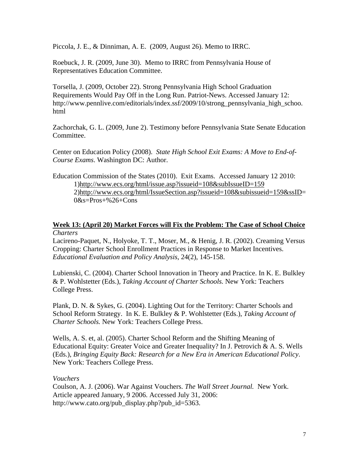Piccola, J. E., & Dinniman, A. E. (2009, August 26). Memo to IRRC.

Roebuck, J. R. (2009, June 30). Memo to IRRC from Pennsylvania House of Representatives Education Committee.

Torsella, J. (2009, October 22). Strong Pennsylvania High School Graduation Requirements Would Pay Off in the Long Run. Patriot-News. Accessed January 12: http://www.pennlive.com/editorials/index.ssf/2009/10/strong\_pennsylvania\_high\_schoo. html

Zachorchak, G. L. (2009, June 2). Testimony before Pennsylvania State Senate Education Committee.

Center on Education Policy (2008). *State High School Exit Exams: A Move to End-of-Course Exams*. Washington DC: Author.

Education Commission of the States (2010). Exit Exams. Accessed January 12 2010: 1)http://www.ecs.org/html/issue.asp?issueid=108&subIssueID=159 2)http://www.ecs.org/html/IssueSection.asp?issueid=108&subissueid=159&ssID=  $0&s=Pros+\%26+Cons$ 

#### **Week 13: (April 20) Market Forces will Fix the Problem: The Case of School Choice** *Charters*

Lacireno-Paquet, N., Holyoke, T. T., Moser, M., & Henig, J. R. (2002). Creaming Versus Cropping: Charter School Enrollment Practices in Response to Market Incentives. *Educational Evaluation and Policy Analysis*, 24(2), 145-158.

Lubienski, C. (2004). Charter School Innovation in Theory and Practice. In K. E. Bulkley & P. Wohlstetter (Eds.), *Taking Account of Charter Schools.* New York: Teachers College Press.

Plank, D. N. & Sykes, G. (2004). Lighting Out for the Territory: Charter Schools and School Reform Strategy. In K. E. Bulkley & P. Wohlstetter (Eds.), *Taking Account of Charter Schools.* New York: Teachers College Press.

Wells, A. S. et, al. (2005). Charter School Reform and the Shifting Meaning of Educational Equity: Greater Voice and Greater Inequality? In J. Petrovich  $\&\,A$ . S. Wells (Eds.), *Bringing Equity Back: Research for a New Era in American Educational Policy*. New York: Teachers College Press.

#### *Vouchers*

Coulson, A. J. (2006). War Against Vouchers. *The Wall Street Journal.* New York. Article appeared January, 9 2006. Accessed July 31, 2006: http://www.cato.org/pub\_display.php?pub\_id=5363.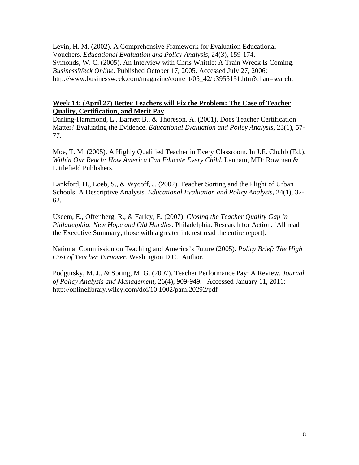Levin, H. M. (2002). A Comprehensive Framework for Evaluation Educational Vouchers. *Educational Evaluation and Policy Analysis*, 24(3), 159-174. Symonds, W. C. (2005). An Interview with Chris Whittle: A Train Wreck Is Coming. *BusinessWeek Online*. Published October 17, 2005. Accessed July 27, 2006: http://www.businessweek.com/magazine/content/05\_42/b3955151.htm?chan=search.

## **Week 14: (April 27) Better Teachers will Fix the Problem: The Case of Teacher Quality, Certification, and Merit Pay**

Darling-Hammond, L., Barnett B., & Thoreson, A. (2001). Does Teacher Certification Matter? Evaluating the Evidence. *Educational Evaluation and Policy Analysis*, 23(1), 57- 77.

Moe, T. M. (2005). A Highly Qualified Teacher in Every Classroom. In J.E. Chubb (Ed.), *Within Our Reach: How America Can Educate Every Child.* Lanham, MD: Rowman & Littlefield Publishers.

Lankford, H., Loeb, S., & Wycoff, J. (2002). Teacher Sorting and the Plight of Urban Schools: A Descriptive Analysis. *Educational Evaluation and Policy Analysis*, 24(1), 37- 62.

Useem, E., Offenberg, R., & Farley, E. (2007). *Closing the Teacher Quality Gap in Philadelphia: New Hope and Old Hurdles.* Philadelphia: Research for Action. [All read the Executive Summary; those with a greater interest read the entire report].

National Commission on Teaching and America's Future (2005). *Policy Brief: The High Cost of Teacher Turnover.* Washington D.C.: Author.

Podgursky, M. J., & Spring, M. G. (2007). Teacher Performance Pay: A Review. *Journal of Policy Analysis and Management*, 26(4), 909-949. Accessed January 11, 2011: http://onlinelibrary.wiley.com/doi/10.1002/pam.20292/pdf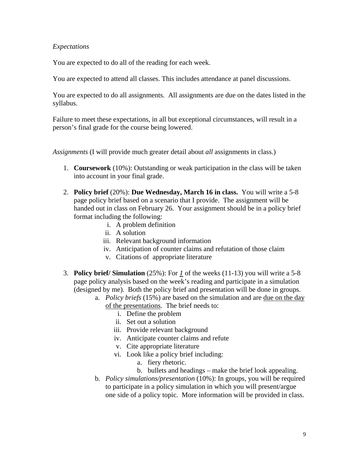## *Expectations*

You are expected to do all of the reading for each week.

You are expected to attend all classes. This includes attendance at panel discussions.

You are expected to do all assignments. All assignments are due on the dates listed in the syllabus.

Failure to meet these expectations, in all but exceptional circumstances, will result in a person's final grade for the course being lowered.

*Assignments* (I will provide much greater detail about *all* assignments in class.)

- 1. **Coursework** (10%): Outstanding or weak participation in the class will be taken into account in your final grade.
- 2. **Policy brief** (20%): **Due Wednesday, March 16 in class.** You will write a 5-8 page policy brief based on a scenario that I provide. The assignment will be handed out in class on February 26. Your assignment should be in a policy brief format including the following:
	- i. A problem definition
	- ii. A solution
	- iii. Relevant background information
	- iv. Anticipation of counter claims and refutation of those claim
	- v. Citations of appropriate literature
- 3. **Policy brief/ Simulation** (25%): For *1* of the weeks (11-13) you will write a 5-8 page policy analysis based on the week's reading and participate in a simulation (designed by me). Both the policy brief and presentation will be done in groups.
	- a. *Policy briefs* (15%) are based on the simulation and are due on the day of the presentations. The brief needs to:
		- i. Define the problem
		- ii. Set out a solution
		- iii. Provide relevant background
		- iv. Anticipate counter claims and refute
		- v. Cite appropriate literature
		- vi. Look like a policy brief including:
			- a. fiery rhetoric.
			- b. bullets and headings make the brief look appealing.
	- b. *Policy simulations/presentation* (10%): In groups, you will be required to participate in a policy simulation in which you will present/argue one side of a policy topic. More information will be provided in class.